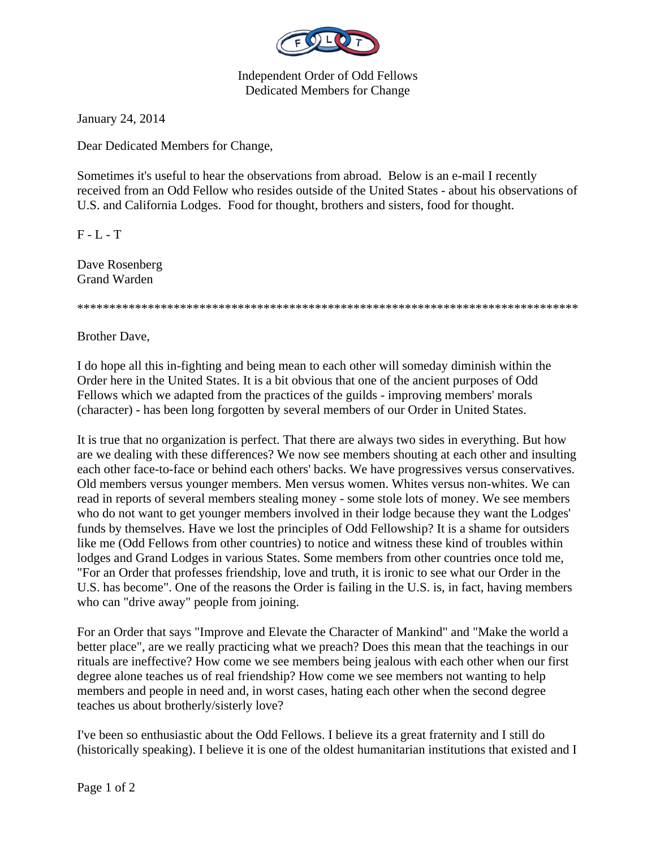

Independent Order of Odd Fellows Dedicated Members for Change

January 24, 2014

Dear Dedicated Members for Change,

Sometimes it's useful to hear the observations from abroad. Below is an e-mail I recently received from an Odd Fellow who resides outside of the United States - about his observations of U.S. and California Lodges. Food for thought, brothers and sisters, food for thought.

 $F - L - T$ 

Dave Rosenberg Grand Warden

\*\*\*\*\*\*\*\*\*\*\*\*\*\*\*\*\*\*\*\*\*\*\*\*\*\*\*\*\*\*\*\*\*\*\*\*\*\*\*\*\*\*\*\*\*\*\*\*\*\*\*\*\*\*\*\*\*\*\*\*\*\*\*\*\*\*\*\*\*\*\*\*\*\*\*\*\*\*

Brother Dave,

I do hope all this in-fighting and being mean to each other will someday diminish within the Order here in the United States. It is a bit obvious that one of the ancient purposes of Odd Fellows which we adapted from the practices of the guilds - improving members' morals (character) - has been long forgotten by several members of our Order in United States.

It is true that no organization is perfect. That there are always two sides in everything. But how are we dealing with these differences? We now see members shouting at each other and insulting each other face-to-face or behind each others' backs. We have progressives versus conservatives. Old members versus younger members. Men versus women. Whites versus non-whites. We can read in reports of several members stealing money - some stole lots of money. We see members who do not want to get younger members involved in their lodge because they want the Lodges' funds by themselves. Have we lost the principles of Odd Fellowship? It is a shame for outsiders like me (Odd Fellows from other countries) to notice and witness these kind of troubles within lodges and Grand Lodges in various States. Some members from other countries once told me, "For an Order that professes friendship, love and truth, it is ironic to see what our Order in the U.S. has become". One of the reasons the Order is failing in the U.S. is, in fact, having members who can "drive away" people from joining.

For an Order that says "Improve and Elevate the Character of Mankind" and "Make the world a better place", are we really practicing what we preach? Does this mean that the teachings in our rituals are ineffective? How come we see members being jealous with each other when our first degree alone teaches us of real friendship? How come we see members not wanting to help members and people in need and, in worst cases, hating each other when the second degree teaches us about brotherly/sisterly love?

I've been so enthusiastic about the Odd Fellows. I believe its a great fraternity and I still do (historically speaking). I believe it is one of the oldest humanitarian institutions that existed and I